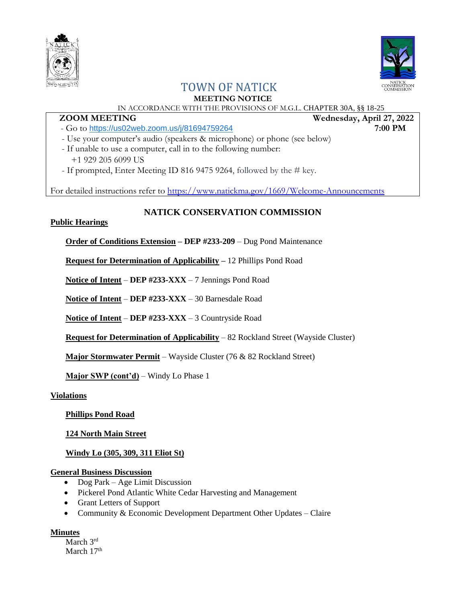



# TOWN OF NATICK

## **MEETING NOTICE**

# IN ACCORDANCE WITH THE PROVISIONS OF M.G.L. CHAPTER 30A, §§ 18-25

## **ZOOM MEETING Wednesday, April 27, 2022**

- Go to <https://us02web.zoom.us/j/81694759264> **7:00 PM**
- Use your computer's audio (speakers & microphone) or phone (see below)
- If unable to use a computer, call in to the following number: +1 929 205 6099 US
- If prompted, Enter Meeting ID 816 9475 9264, followed by the # key.

For detailed instructions refer to<https://www.natickma.gov/1669/Welcome-Announcements>

# **NATICK CONSERVATION COMMISSION**

### **Public Hearings**

**Order of Conditions Extension – DEP #233-209** – Dug Pond Maintenance

**Request for Determination of Applicability –** 12 Phillips Pond Road

**Notice of Intent** – **DEP #233-XXX** – 7 Jennings Pond Road

**Notice of Intent** – **DEP #233-XXX** – 30 Barnesdale Road

**Notice of Intent** – **DEP #233-XXX** – 3 Countryside Road

**Request for Determination of Applicability** – 82 Rockland Street (Wayside Cluster)

**Major Stormwater Permit** – Wayside Cluster (76 & 82 Rockland Street)

**Major SWP (cont'd)** – Windy Lo Phase 1

**Violations**

**Phillips Pond Road**

**124 North Main Street**

**Windy Lo (305, 309, 311 Eliot St)**

### **General Business Discussion**

- Dog Park Age Limit Discussion
- Pickerel Pond Atlantic White Cedar Harvesting and Management
- Grant Letters of Support
- Community & Economic Development Department Other Updates Claire

### **Minutes**

March 3<sup>rd</sup> March 17<sup>th</sup>